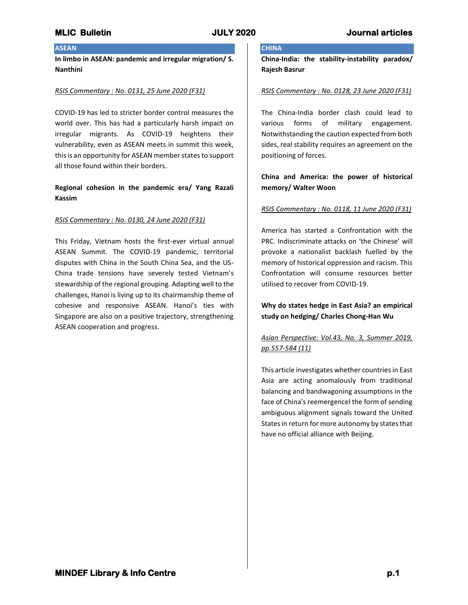# **ASEAN**

**In limbo in ASEAN: pandemic and irregular migration/ S. Nanthini**

## *RSIS Commentary : No. 0131, 25 June 2020 (F31)*

COVID-19 has led to stricter border control measures the world over. This has had a particularly harsh impact on irregular migrants. As COVID-19 heightens their vulnerability, even as ASEAN meets in summit this week, this is an opportunity for ASEAN member states to support all those found within their borders.

## **Regional cohesion in the pandemic era/ Yang Razali Kassim**

### *RSIS Commentary : No. 0130, 24 June 2020 (F31)*

This Friday, Vietnam hosts the first-ever virtual annual ASEAN Summit. The COVID-19 pandemic, territorial disputes with China in the South China Sea, and the US-China trade tensions have severely tested Vietnam's stewardship of the regional grouping. Adapting well to the challenges, Hanoi is living up to its chairmanship theme of cohesive and responsive ASEAN. Hanoi's ties with Singapore are also on a positive trajectory, strengthening ASEAN cooperation and progress.

# **CHINA**

**China-India: the stability-instability paradox/ Rajesh Basrur**

### *RSIS Commentary : No. 0128, 23 June 2020 (F31)*

The China-India border clash could lead to various forms of military engagement. Notwithstanding the caution expected from both sides, real stability requires an agreement on the positioning of forces.

# **China and America: the power of historical memory/ Walter Woon**

### *RSIS Commentary : No. 0118, 11 June 2020 (F31)*

America has started a Confrontation with the PRC. Indiscriminate attacks on 'the Chinese' will provoke a nationalist backlash fuelled by the memory of historical oppression and racism. This Confrontation will consume resources better utilised to recover from COVID-19.

**Why do states hedge in East Asia? an empirical study on hedging/ Charles Chong-Han Wu**

# *Asian Perspective: Vol.43, No. 3, Summer 2019, pp.557-584 (11)*

This article investigates whether countries in East Asia are acting anomalously from traditional balancing and bandwagoning assumptions in the face of China's reemergencel the form of sending ambiguous alignment signals toward the United States in return for more autonomy by states that have no official alliance with Beijing.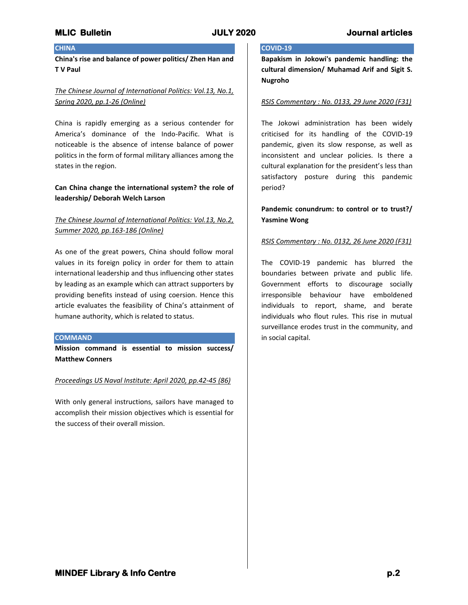# **CHINA**

**China's rise and balance of power politics/ Zhen Han and T V Paul**

# *The Chinese Journal of International Politics: Vol.13, No.1, Spring 2020, pp.1-26 (Online)*

China is rapidly emerging as a serious contender for America's dominance of the Indo-Pacific. What is noticeable is the absence of intense balance of power politics in the form of formal military alliances among the states in the region.

## **Can China change the international system? the role of leadership/ Deborah Welch Larson**

# *The Chinese Journal of International Politics: Vol.13, No.2, Summer 2020, pp.163-186 (Online)*

As one of the great powers, China should follow moral values in its foreign policy in order for them to attain international leadership and thus influencing other states by leading as an example which can attract supporters by providing benefits instead of using coersion. Hence this article evaluates the feasibility of China's attainment of humane authority, which is related to status.

### **COMMAND**

**Mission command is essential to mission success/ Matthew Conners**

### *Proceedings US Naval Institute: April 2020, pp.42-45 (86)*

With only general instructions, sailors have managed to accomplish their mission objectives which is essential for the success of their overall mission.

# **COVID-19**

**Bapakism in Jokowi's pandemic handling: the cultural dimension/ Muhamad Arif and Sigit S. Nugroho**

### *RSIS Commentary : No. 0133, 29 June 2020 (F31)*

The Jokowi administration has been widely criticised for its handling of the COVID-19 pandemic, given its slow response, as well as inconsistent and unclear policies. Is there a cultural explanation for the president's less than satisfactory posture during this pandemic period?

# **Pandemic conundrum: to control or to trust?/ Yasmine Wong**

## *RSIS Commentary : No. 0132, 26 June 2020 (F31)*

The COVID-19 pandemic has blurred the boundaries between private and public life. Government efforts to discourage socially irresponsible behaviour have emboldened individuals to report, shame, and berate individuals who flout rules. This rise in mutual surveillance erodes trust in the community, and in social capital.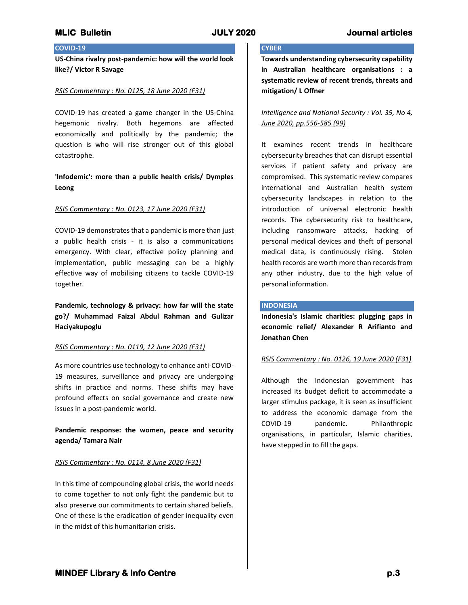## **COVID-19**

**US-China rivalry post-pandemic: how will the world look like?/ Victor R Savage**

### *RSIS Commentary : No. 0125, 18 June 2020 (F31)*

COVID-19 has created a game changer in the US-China hegemonic rivalry. Both hegemons are affected economically and politically by the pandemic; the question is who will rise stronger out of this global catastrophe.

## **'Infodemic': more than a public health crisis/ Dymples Leong**

### *RSIS Commentary : No. 0123, 17 June 2020 (F31)*

COVID-19 demonstrates that a pandemic is more than just a public health crisis - it is also a communications emergency. With clear, effective policy planning and implementation, public messaging can be a highly effective way of mobilising citizens to tackle COVID-19 together.

**Pandemic, technology & privacy: how far will the state go?/ Muhammad Faizal Abdul Rahman and Gulizar Haciyakupoglu**

#### *RSIS Commentary : No. 0119, 12 June 2020 (F31)*

As more countries use technology to enhance anti-COVID-19 measures, surveillance and privacy are undergoing shifts in practice and norms. These shifts may have profound effects on social governance and create new issues in a post-pandemic world.

**Pandemic response: the women, peace and security agenda/ Tamara Nair**

### *RSIS Commentary : No. 0114, 8 June 2020 (F31)*

In this time of compounding global crisis, the world needs to come together to not only fight the pandemic but to also preserve our commitments to certain shared beliefs. One of these is the eradication of gender inequality even in the midst of this humanitarian crisis.

## **CYBER**

**Towards understanding cybersecurity capability in Australian healthcare organisations : a systematic review of recent trends, threats and mitigation/ L Offner**

*Intelligence and National Security : Vol. 35, No 4, June 2020, pp.556-585 (99)*

It examines recent trends in healthcare cybersecurity breaches that can disrupt essential services if patient safety and privacy are compromised. This systematic review compares international and Australian health system cybersecurity landscapes in relation to the introduction of universal electronic health records. The cybersecurity risk to healthcare, including ransomware attacks, hacking of personal medical devices and theft of personal medical data, is continuously rising. Stolen health records are worth more than records from any other industry, due to the high value of personal information.

#### **INDONESIA**

**Indonesia's Islamic charities: plugging gaps in economic relief/ Alexander R Arifianto and Jonathan Chen**

#### *RSIS Commentary : No. 0126, 19 June 2020 (F31)*

Although the Indonesian government has increased its budget deficit to accommodate a larger stimulus package, it is seen as insufficient to address the economic damage from the COVID-19 pandemic. Philanthropic organisations, in particular, Islamic charities, have stepped in to fill the gaps.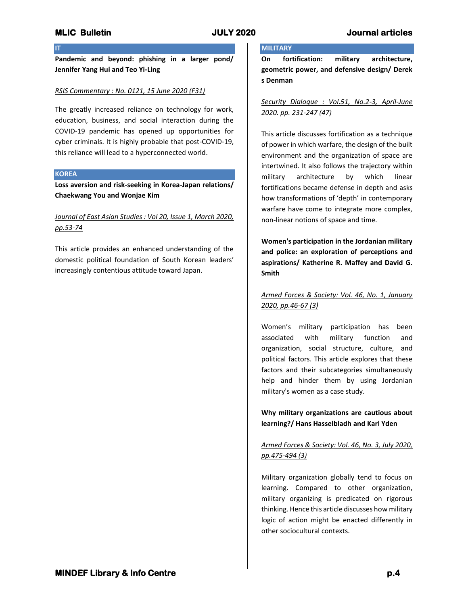**IT**

**Pandemic and beyond: phishing in a larger pond/ Jennifer Yang Hui and Teo Yi-Ling**

## *RSIS Commentary : No. 0121, 15 June 2020 (F31)*

The greatly increased reliance on technology for work, education, business, and social interaction during the COVID-19 pandemic has opened up opportunities for cyber criminals. It is highly probable that post-COVID-19, this reliance will lead to a hyperconnected world.

## **KOREA**

**Loss aversion and risk-seeking in Korea-Japan relations/ Chaekwang You and Wonjae Kim**

# *Journal of East Asian Studies : Vol 20, Issue 1, March 2020, pp.53-74*

This article provides an enhanced understanding of the domestic political foundation of South Korean leaders' increasingly contentious attitude toward Japan.

# **MILITARY**

**On fortification: military architecture, geometric power, and defensive design/ Derek s Denman**

# *Security Dialogue : Vol.51, No.2-3, April-June 2020. pp. 231-247 (47)*

This article discusses fortification as a technique of power in which warfare, the design of the built environment and the organization of space are intertwined. It also follows the trajectory within military architecture by which linear fortifications became defense in depth and asks how transformations of 'depth' in contemporary warfare have come to integrate more complex, non-linear notions of space and time.

**Women's participation in the Jordanian military and police: an exploration of perceptions and aspirations/ Katherine R. Maffey and David G. Smith**

# *Armed Forces & Society: Vol. 46, No. 1, January 2020, pp.46-67 (3)*

Women's military participation has been associated with military function and organization, social structure, culture, and political factors. This article explores that these factors and their subcategories simultaneously help and hinder them by using Jordanian military's women as a case study.

**Why military organizations are cautious about learning?/ Hans Hasselbladh and Karl Yden**

# *Armed Forces & Society: Vol. 46, No. 3, July 2020, pp.475-494 (3)*

Military organization globally tend to focus on learning. Compared to other organization, military organizing is predicated on rigorous thinking. Hence this article discusses how military logic of action might be enacted differently in other sociocultural contexts.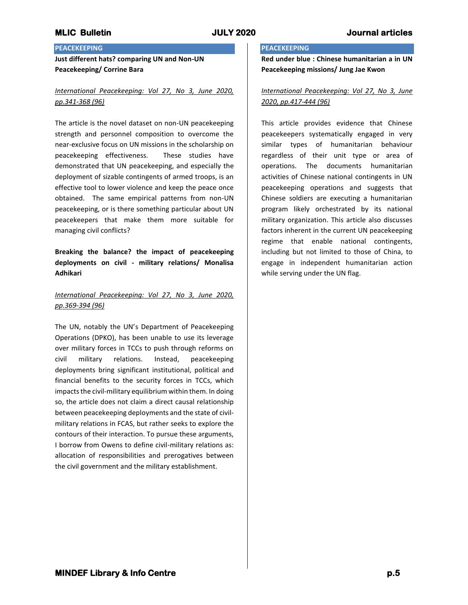# **PEACEKEEPING**

**Just different hats? comparing UN and Non-UN Peacekeeping/ Corrine Bara**

# *International Peacekeeping: Vol 27, No 3, June 2020, pp.341-368 (96)*

The article is the novel dataset on non-UN peacekeeping strength and personnel composition to overcome the near-exclusive focus on UN missions in the scholarship on peacekeeping effectiveness. These studies have demonstrated that UN peacekeeping, and especially the deployment of sizable contingents of armed troops, is an effective tool to lower violence and keep the peace once obtained. The same empirical patterns from non-UN peacekeeping, or is there something particular about UN peacekeepers that make them more suitable for managing civil conflicts?

**Breaking the balance? the impact of peacekeeping deployments on civil - military relations/ Monalisa Adhikari**

# *International Peacekeeping: Vol 27, No 3, June 2020, pp.369-394 (96)*

The UN, notably the UN's Department of Peacekeeping Operations (DPKO), has been unable to use its leverage over military forces in TCCs to push through reforms on civil military relations. Instead, peacekeeping deployments bring significant institutional, political and financial benefits to the security forces in TCCs, which impacts the civil-military equilibrium within them. In doing so, the article does not claim a direct causal relationship between peacekeeping deployments and the state of civilmilitary relations in FCAS, but rather seeks to explore the contours of their interaction. To pursue these arguments, I borrow from Owens to define civil-military relations as: allocation of responsibilities and prerogatives between the civil government and the military establishment.

### **PEACEKEEPING**

**Red under blue : Chinese humanitarian a in UN Peacekeeping missions/ Jung Jae Kwon**

# *International Peacekeeping: Vol 27, No 3, June 2020, pp.417-444 (96)*

This article provides evidence that Chinese peacekeepers systematically engaged in very similar types of humanitarian behaviour regardless of their unit type or area of operations. The documents humanitarian activities of Chinese national contingents in UN peacekeeping operations and suggests that Chinese soldiers are executing a humanitarian program likely orchestrated by its national military organization. This article also discusses factors inherent in the current UN peacekeeping regime that enable national contingents, including but not limited to those of China, to engage in independent humanitarian action while serving under the UN flag.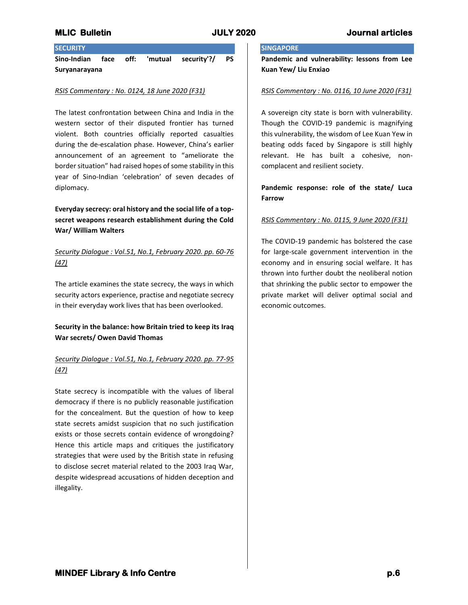# **SECURITY**

**Sino-Indian face off: 'mutual security'?/ PS Suryanarayana**

## *RSIS Commentary : No. 0124, 18 June 2020 (F31)*

The latest confrontation between China and India in the western sector of their disputed frontier has turned violent. Both countries officially reported casualties during the de-escalation phase. However, China's earlier announcement of an agreement to "ameliorate the border situation" had raised hopes of some stability in this year of Sino-Indian 'celebration' of seven decades of diplomacy.

# **Everyday secrecy: oral history and the social life of a topsecret weapons research establishment during the Cold War/ William Walters**

# *Security Dialogue : Vol.51, No.1, February 2020. pp. 60-76 (47)*

The article examines the state secrecy, the ways in which security actors experience, practise and negotiate secrecy in their everyday work lives that has been overlooked.

# **Security in the balance: how Britain tried to keep its Iraq War secrets/ Owen David Thomas**

# *Security Dialogue : Vol.51, No.1, February 2020. pp. 77-95 (47)*

State secrecy is incompatible with the values of liberal democracy if there is no publicly reasonable justification for the concealment. But the question of how to keep state secrets amidst suspicion that no such justification exists or those secrets contain evidence of wrongdoing? Hence this article maps and critiques the justificatory strategies that were used by the British state in refusing to disclose secret material related to the 2003 Iraq War, despite widespread accusations of hidden deception and illegality.

# **SINGAPORE**

**Pandemic and vulnerability: lessons from Lee Kuan Yew/ Liu Enxiao**

## *RSIS Commentary : No. 0116, 10 June 2020 (F31)*

A sovereign city state is born with vulnerability. Though the COVID-19 pandemic is magnifying this vulnerability, the wisdom of Lee Kuan Yew in beating odds faced by Singapore is still highly relevant. He has built a cohesive, noncomplacent and resilient society.

# **Pandemic response: role of the state/ Luca Farrow**

## *RSIS Commentary : No. 0115, 9 June 2020 (F31)*

The COVID-19 pandemic has bolstered the case for large-scale government intervention in the economy and in ensuring social welfare. It has thrown into further doubt the neoliberal notion that shrinking the public sector to empower the private market will deliver optimal social and economic outcomes.